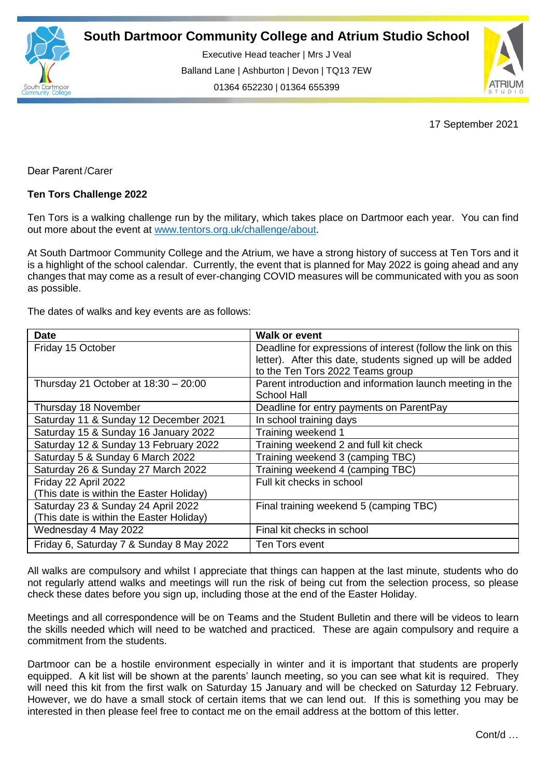

Executive Head teacher | Mrs J Veal Balland Lane | Ashburton | Devon | TQ13 7EW 01364 652230 | 01364 655399

ww.south.uk | [www.atrium-studio.co.uk](http://www.atrium-studio.co.uk/) | www.atrium-studio.co.uk



17 September 2021

Dear Parent /Carer

## **Ten Tors Challenge 2022**

Ten Tors is a walking challenge run by the military, which takes place on Dartmoor each year. You can find out more about the event at [www.tentors.org.uk/challenge/about.](http://www.tentors.org.uk/challenge/about)

At South Dartmoor Community College and the Atrium, we have a strong history of success at Ten Tors and it is a highlight of the school calendar. Currently, the event that is planned for May 2022 is going ahead and any changes that may come as a result of ever-changing COVID measures will be communicated with you as soon as possible.

The dates of walks and key events are as follows:

| <b>Date</b>                              | <b>Walk or event</b>                                          |
|------------------------------------------|---------------------------------------------------------------|
| Friday 15 October                        | Deadline for expressions of interest (follow the link on this |
|                                          | letter). After this date, students signed up will be added    |
|                                          | to the Ten Tors 2022 Teams group                              |
| Thursday 21 October at $18:30 - 20:00$   | Parent introduction and information launch meeting in the     |
|                                          | School Hall                                                   |
| Thursday 18 November                     | Deadline for entry payments on ParentPay                      |
| Saturday 11 & Sunday 12 December 2021    | In school training days                                       |
| Saturday 15 & Sunday 16 January 2022     | Training weekend 1                                            |
| Saturday 12 & Sunday 13 February 2022    | Training weekend 2 and full kit check                         |
| Saturday 5 & Sunday 6 March 2022         | Training weekend 3 (camping TBC)                              |
| Saturday 26 & Sunday 27 March 2022       | Training weekend 4 (camping TBC)                              |
| Friday 22 April 2022                     | Full kit checks in school                                     |
| (This date is within the Easter Holiday) |                                                               |
| Saturday 23 & Sunday 24 April 2022       | Final training weekend 5 (camping TBC)                        |
| (This date is within the Easter Holiday) |                                                               |
| Wednesday 4 May 2022                     | Final kit checks in school                                    |
| Friday 6, Saturday 7 & Sunday 8 May 2022 | Ten Tors event                                                |

All walks are compulsory and whilst I appreciate that things can happen at the last minute, students who do not regularly attend walks and meetings will run the risk of being cut from the selection process, so please check these dates before you sign up, including those at the end of the Easter Holiday.

Meetings and all correspondence will be on Teams and the Student Bulletin and there will be videos to learn the skills needed which will need to be watched and practiced. These are again compulsory and require a commitment from the students.

Dartmoor can be a hostile environment especially in winter and it is important that students are properly equipped. A kit list will be shown at the parents' launch meeting, so you can see what kit is required. They will need this kit from the first walk on Saturday 15 January and will be checked on Saturday 12 February. However, we do have a small stock of certain items that we can lend out. If this is something you may be interested in then please feel free to contact me on the email address at the bottom of this letter.